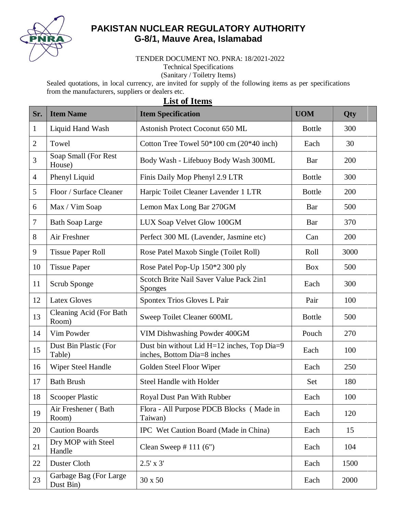

## **PAKISTAN NUCLEAR REGULATORY AUTHORITY G-8/1, Mauve Area, Islamabad**

TENDER DOCUMENT NO. PNRA: 18/2021-2022

Technical Specifications

(Sanitary / Toiletry Items)

Sealed quotations, in local currency, are invited for supply of the following items as per specifications from the manufacturers, suppliers or dealers etc.

|                | ым от темия                         |                                                                            |               |      |  |  |  |  |
|----------------|-------------------------------------|----------------------------------------------------------------------------|---------------|------|--|--|--|--|
| Sr.            | <b>Item Name</b>                    | <b>Item Specification</b>                                                  | <b>UOM</b>    | Qty  |  |  |  |  |
| $\mathbf{1}$   | Liquid Hand Wash                    | Astonish Protect Coconut 650 ML                                            | <b>Bottle</b> | 300  |  |  |  |  |
| $\overline{2}$ | Towel                               | Cotton Tree Towel $50*100$ cm $(20*40$ inch)                               | Each          | 30   |  |  |  |  |
| 3              | Soap Small (For Rest<br>House)      | Body Wash - Lifebuoy Body Wash 300ML                                       | Bar           | 200  |  |  |  |  |
| $\overline{4}$ | Phenyl Liquid                       | Finis Daily Mop Phenyl 2.9 LTR                                             | <b>Bottle</b> | 300  |  |  |  |  |
| 5              | Floor / Surface Cleaner             | Harpic Toilet Cleaner Lavender 1 LTR                                       | <b>Bottle</b> | 200  |  |  |  |  |
| 6              | Max / Vim Soap                      | Lemon Max Long Bar 270GM                                                   | Bar           | 500  |  |  |  |  |
| 7              | <b>Bath Soap Large</b>              | LUX Soap Velvet Glow 100GM                                                 | Bar           | 370  |  |  |  |  |
| 8              | Air Freshner                        | Perfect 300 ML (Lavender, Jasmine etc)                                     | Can           | 200  |  |  |  |  |
| 9              | <b>Tissue Paper Roll</b>            | Rose Patel Maxob Single (Toilet Roll)                                      | Roll          | 3000 |  |  |  |  |
| 10             | <b>Tissue Paper</b>                 | Rose Patel Pop-Up 150*2 300 ply                                            | <b>Box</b>    | 500  |  |  |  |  |
| 11             | Scrub Sponge                        | Scotch Brite Nail Saver Value Pack 2in1<br><b>Sponges</b>                  | Each          | 300  |  |  |  |  |
| 12             | <b>Latex Gloves</b>                 | Spontex Trios Gloves L Pair                                                | Pair          | 100  |  |  |  |  |
| 13             | Cleaning Acid (For Bath<br>Room)    | Sweep Toilet Cleaner 600ML                                                 | <b>Bottle</b> | 500  |  |  |  |  |
| 14             | Vim Powder                          | VIM Dishwashing Powder 400GM                                               | Pouch         | 270  |  |  |  |  |
| 15             | Dust Bin Plastic (For<br>Table)     | Dust bin without Lid H=12 inches, Top Dia=9<br>inches, Bottom Dia=8 inches | Each          | 100  |  |  |  |  |
| 16             | Wiper Steel Handle                  | Golden Steel Floor Wiper                                                   | Each          | 250  |  |  |  |  |
| 17             | <b>Bath Brush</b>                   | <b>Steel Handle with Holder</b>                                            | Set           | 180  |  |  |  |  |
| 18             | <b>Scooper Plastic</b>              | Royal Dust Pan With Rubber                                                 | Each          | 100  |  |  |  |  |
| 19             | Air Freshener (Bath<br>Room)        | Flora - All Purpose PDCB Blocks (Made in<br>Taiwan)                        | Each          | 120  |  |  |  |  |
| 20             | <b>Caution Boards</b>               | IPC Wet Caution Board (Made in China)                                      | Each          | 15   |  |  |  |  |
| 21             | Dry MOP with Steel<br>Handle        | Clean Sweep $# 111 (6")$                                                   | Each          | 104  |  |  |  |  |
| 22             | Duster Cloth                        | $2.5' \times 3'$                                                           | Each          | 1500 |  |  |  |  |
| 23             | Garbage Bag (For Large<br>Dust Bin) | 30 x 50                                                                    | Each          | 2000 |  |  |  |  |

## **List of Items**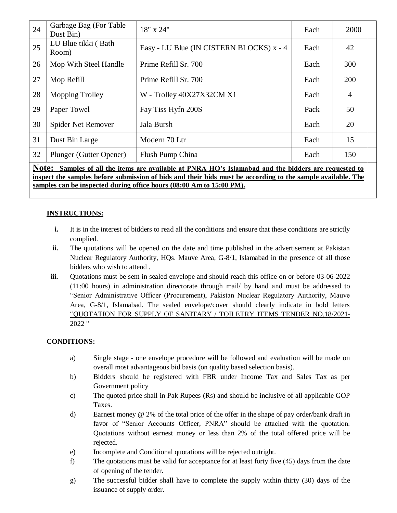| 24                                                                                                                                                                                                                                                                                             | Garbage Bag (For Table<br>Dust Bin) | 18" x 24"                                | Each | 2000           |  |  |
|------------------------------------------------------------------------------------------------------------------------------------------------------------------------------------------------------------------------------------------------------------------------------------------------|-------------------------------------|------------------------------------------|------|----------------|--|--|
| 25                                                                                                                                                                                                                                                                                             | LU Blue tikki (Bath<br>Room)        | Easy - LU Blue (IN CISTERN BLOCKS) x - 4 | Each | 42             |  |  |
| 26                                                                                                                                                                                                                                                                                             | Mop With Steel Handle               | Prime Refill Sr. 700                     | Each | 300            |  |  |
| 27                                                                                                                                                                                                                                                                                             | Mop Refill                          | Prime Refill Sr. 700                     | Each | 200            |  |  |
| 28                                                                                                                                                                                                                                                                                             | <b>Mopping Trolley</b>              | W - Trolley 40X27X32CM X1                | Each | $\overline{A}$ |  |  |
| 29                                                                                                                                                                                                                                                                                             | Paper Towel                         | Fay Tiss Hyfn 200S                       | Pack | 50             |  |  |
| 30                                                                                                                                                                                                                                                                                             | Spider Net Remover                  | Jala Bursh                               | Each | 20             |  |  |
| 31                                                                                                                                                                                                                                                                                             | Dust Bin Large                      | Modern 70 Ltr                            | Each | 15             |  |  |
| 32                                                                                                                                                                                                                                                                                             | Plunger (Gutter Opener)             | Flush Pump China                         | Each | 150            |  |  |
| Note:<br>Samples of all the items are available at PNRA HQ's Islamabad and the bidders are requested to<br>inspect the samples before submission of bids and their bids must be according to the sample available. The<br>samples can be inspected during office hours (08:00 Am to 15:00 PM). |                                     |                                          |      |                |  |  |

## **INSTRUCTIONS:**

- **i.** It is in the interest of bidders to read all the conditions and ensure that these conditions are strictly complied.
- **ii.** The quotations will be opened on the date and time published in the advertisement at Pakistan Nuclear Regulatory Authority, HQs. Mauve Area, G-8/1, Islamabad in the presence of all those bidders who wish to attend .
- **iii.** Quotations must be sent in sealed envelope and should reach this office on or before 03-06-2022 (11:00 hours) in administration directorate through mail/ by hand and must be addressed to "Senior Administrative Officer (Procurement), Pakistan Nuclear Regulatory Authority, Mauve Area, G-8/1, Islamabad. The sealed envelope/cover should clearly indicate in bold letters "QUOTATION FOR SUPPLY OF SANITARY / TOILETRY ITEMS TENDER NO.18/2021- 2022 "

## **CONDITIONS:**

- a) Single stage one envelope procedure will be followed and evaluation will be made on overall most advantageous bid basis (on quality based selection basis).
- b) Bidders should be registered with FBR under Income Tax and Sales Tax as per Government policy
- c) The quoted price shall in Pak Rupees (Rs) and should be inclusive of all applicable GOP Taxes.
- d) Earnest money @ 2% of the total price of the offer in the shape of pay order/bank draft in favor of "Senior Accounts Officer, PNRA" should be attached with the quotation. Quotations without earnest money or less than 2% of the total offered price will be rejected.
- e) Incomplete and Conditional quotations will be rejected outright.
- f) The quotations must be valid for acceptance for at least forty five (45) days from the date of opening of the tender.
- g) The successful bidder shall have to complete the supply within thirty (30) days of the issuance of supply order.